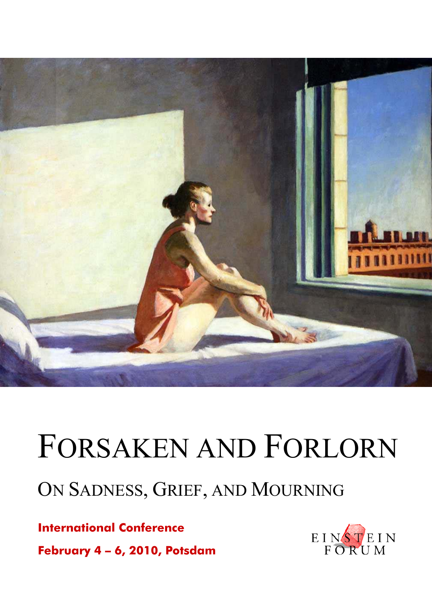

# FORSAKEN AND FORLORN

# ON SADNESS, GRIEF, AND MOURNING

**International Conference February 4 – 6, 2010, Potsdam** 

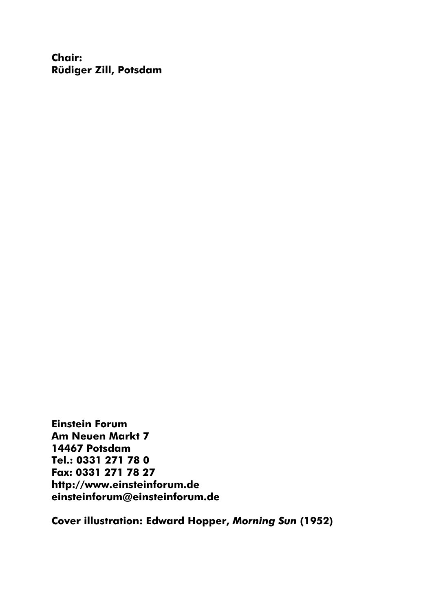**Chair: Rüdiger Zill, Potsdam** 

**Einstein Forum Am Neuen Markt 7 14467 Potsdam Tel.: 0331 271 78 0 Fax: 0331 271 78 27 http://www.einsteinforum.de einsteinforum@einsteinforum.de** 

**Cover illustration: Edward Hopper,** *Morning Sun* **(1952)**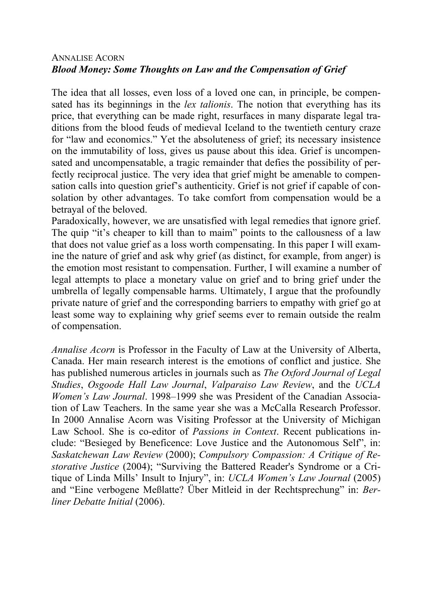# ANNALISE ACORN *Blood Money: Some Thoughts on Law and the Compensation of Grief*

The idea that all losses, even loss of a loved one can, in principle, be compensated has its beginnings in the *lex talionis*. The notion that everything has its price, that everything can be made right, resurfaces in many disparate legal traditions from the blood feuds of medieval Iceland to the twentieth century craze for "law and economics." Yet the absoluteness of grief; its necessary insistence on the immutability of loss, gives us pause about this idea. Grief is uncompensated and uncompensatable, a tragic remainder that defies the possibility of perfectly reciprocal justice. The very idea that grief might be amenable to compensation calls into question grief's authenticity. Grief is not grief if capable of consolation by other advantages. To take comfort from compensation would be a betrayal of the beloved.

Paradoxically, however, we are unsatisfied with legal remedies that ignore grief. The quip "it's cheaper to kill than to maim" points to the callousness of a law that does not value grief as a loss worth compensating. In this paper I will examine the nature of grief and ask why grief (as distinct, for example, from anger) is the emotion most resistant to compensation. Further, I will examine a number of legal attempts to place a monetary value on grief and to bring grief under the umbrella of legally compensable harms. Ultimately, I argue that the profoundly private nature of grief and the corresponding barriers to empathy with grief go at least some way to explaining why grief seems ever to remain outside the realm of compensation.

*Annalise Acorn* is Professor in the Faculty of Law at the University of Alberta, Canada. Her main research interest is the emotions of conflict and justice. She has published numerous articles in journals such as *The Oxford Journal of Legal Studies*, *Osgoode Hall Law Journal*, *Valparaiso Law Review*, and the *UCLA Women's Law Journal*. 1998–1999 she was President of the Canadian Association of Law Teachers. In the same year she was a McCalla Research Professor. In 2000 Annalise Acorn was Visiting Professor at the University of Michigan Law School. She is co-editor of *Passions in Context*. Recent publications include: "Besieged by Beneficence: Love Justice and the Autonomous Self", in: *Saskatchewan Law Review* (2000); *Compulsory Compassion: A Critique of Restorative Justice* (2004); "Surviving the Battered Reader's Syndrome or a Critique of Linda Mills' Insult to Injury", in: *UCLA Women's Law Journal* (2005) and "Eine verbogene Meßlatte? Über Mitleid in der Rechtsprechung" in: *Berliner Debatte Initial* (2006).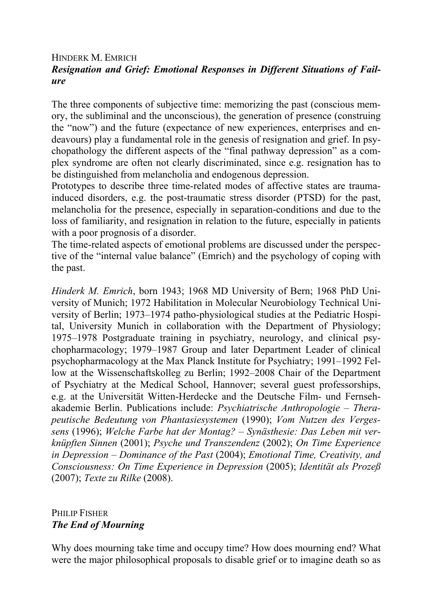# HINDERK M. EMRICH *Resignation and Grief: Emotional Responses in Different Situations of Failure*

The three components of subjective time: memorizing the past (conscious memory, the subliminal and the unconscious), the generation of presence (construing the "now") and the future (expectance of new experiences, enterprises and endeavours) play a fundamental role in the genesis of resignation and grief. In psychopathology the different aspects of the "final pathway depression" as a complex syndrome are often not clearly discriminated, since e.g. resignation has to be distinguished from melancholia and endogenous depression.

Prototypes to describe three time-related modes of affective states are traumainduced disorders, e.g. the post-traumatic stress disorder (PTSD) for the past, melancholia for the presence, especially in separation-conditions and due to the loss of familiarity, and resignation in relation to the future, especially in patients with a poor prognosis of a disorder.

The time-related aspects of emotional problems are discussed under the perspective of the "internal value balance" (Emrich) and the psychology of coping with the past.

*Hinderk M. Emrich*, born 1943; 1968 MD University of Bern; 1968 PhD University of Munich; 1972 Habilitation in Molecular Neurobiology Technical University of Berlin; 1973–1974 patho-physiological studies at the Pediatric Hospital, University Munich in collaboration with the Department of Physiology; 1975–1978 Postgraduate training in psychiatry, neurology, and clinical psychopharmacology; 1979–1987 Group and later Department Leader of clinical psychopharmacology at the Max Planck Institute for Psychiatry; 1991–1992 Fellow at the Wissenschaftskolleg zu Berlin; 1992–2008 Chair of the Department of Psychiatry at the Medical School, Hannover; several guest professorships, e.g. at the Universität Witten-Herdecke and the Deutsche Film- und Fernsehakademie Berlin. Publications include: *Psychiatrische Anthropologie – Therapeutische Bedeutung von Phantasiesystemen* (1990); *Vom Nutzen des Vergessens* (1996); *Welche Farbe hat der Montag? – Synästhesie: Das Leben mit verknüpften Sinnen* (2001); *Psyche und Transzendenz* (2002); *On Time Experience in Depression – Dominance of the Past* (2004); *Emotional Time, Creativity, and Consciousness: On Time Experience in Depression* (2005); *Identität als Prozeß*  (2007); *Texte zu Rilke* (2008).

# PHILIP FISHER *The End of Mourning*

Why does mourning take time and occupy time? How does mourning end? What were the major philosophical proposals to disable grief or to imagine death so as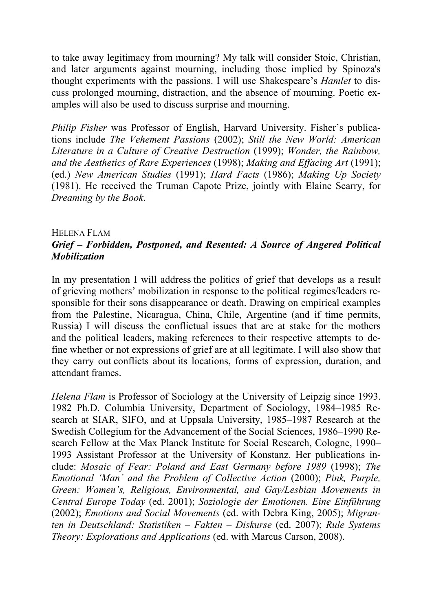to take away legitimacy from mourning? My talk will consider Stoic, Christian, and later arguments against mourning, including those implied by Spinoza's thought experiments with the passions. I will use Shakespeare's *Hamlet* to discuss prolonged mourning, distraction, and the absence of mourning. Poetic examples will also be used to discuss surprise and mourning.

*Philip Fisher* was Professor of English, Harvard University. Fisher's publications include *The Vehement Passions* (2002); *Still the New World: American Literature in a Culture of Creative Destruction* (1999); *Wonder, the Rainbow, and the Aesthetics of Rare Experiences* (1998); *Making and Effacing Art* (1991); (ed.) *New American Studies* (1991); *Hard Facts* (1986); *Making Up Society* (1981). He received the Truman Capote Prize, jointly with Elaine Scarry, for *Dreaming by the Book*.

### HELENA FLAM *Grief – Forbidden, Postponed, and Resented: A Source of Angered Political Mobilization*

In my presentation I will address the politics of grief that develops as a result of grieving mothers' mobilization in response to the political regimes/leaders responsible for their sons disappearance or death. Drawing on empirical examples from the Palestine, Nicaragua, China, Chile, Argentine (and if time permits, Russia) I will discuss the conflictual issues that are at stake for the mothers and the political leaders, making references to their respective attempts to define whether or not expressions of grief are at all legitimate. I will also show that they carry out conflicts about its locations, forms of expression, duration, and attendant frames.

*Helena Flam* is Professor of Sociology at the University of Leipzig since 1993. 1982 Ph.D. Columbia University, Department of Sociology, 1984–1985 Research at SIAR, SIFO, and at Uppsala University, 1985–1987 Research at the Swedish Collegium for the Advancement of the Social Sciences, 1986–1990 Research Fellow at the Max Planck Institute for Social Research, Cologne, 1990– 1993 Assistant Professor at the University of Konstanz. Her publications include: *Mosaic of Fear: Poland and East Germany before 1989* (1998); *The Emotional 'Man' and the Problem of Collective Action* (2000); *Pink, Purple, Green: Women's, Religious, Environmental, and Gay/Lesbian Movements in Central Europe Today* (ed. 2001); *Soziologie der Emotionen. Eine Einführung* (2002); *Emotions and Social Movements* (ed. with Debra King, 2005); *Migranten in Deutschland: Statistiken – Fakten – Diskurse* (ed. 2007); *Rule Systems Theory: Explorations and Applications* (ed. with Marcus Carson, 2008).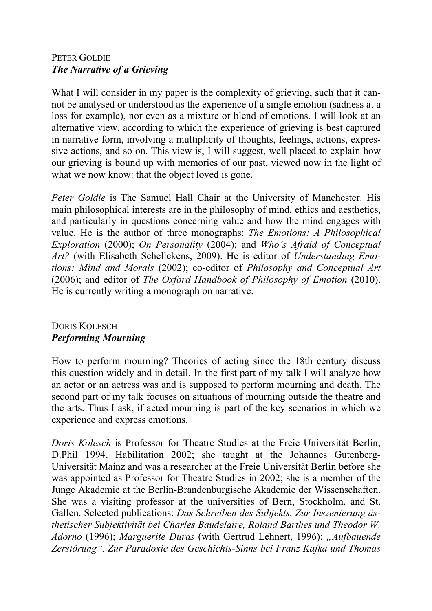# PETER GOLDIE *The Narrative of a Grieving*

What I will consider in my paper is the complexity of grieving, such that it cannot be analysed or understood as the experience of a single emotion (sadness at a loss for example), nor even as a mixture or blend of emotions. I will look at an alternative view, according to which the experience of grieving is best captured in narrative form, involving a multiplicity of thoughts, feelings, actions, expressive actions, and so on. This view is, I will suggest, well placed to explain how our grieving is bound up with memories of our past, viewed now in the light of what we now know: that the object loved is gone.

*Peter Goldie* is The Samuel Hall Chair at the University of Manchester. His main philosophical interests are in the philosophy of mind, ethics and aesthetics, and particularly in questions concerning value and how the mind engages with value. He is the author of three monographs: *The Emotions: A Philosophical Exploration* (2000); *On Personality* (2004); and *Who's Afraid of Conceptual Art?* (with Elisabeth Schellekens, 2009). He is editor of *Understanding Emotions: Mind and Morals* (2002); co-editor of *Philosophy and Conceptual Art* (2006); and editor of *The Oxford Handbook of Philosophy of Emotion* (2010). He is currently writing a monograph on narrative.

# DORIS KOLESCH *Performing Mourning*

How to perform mourning? Theories of acting since the 18th century discuss this question widely and in detail. In the first part of my talk I will analyze how an actor or an actress was and is supposed to perform mourning and death. The second part of my talk focuses on situations of mourning outside the theatre and the arts. Thus I ask, if acted mourning is part of the key scenarios in which we experience and express emotions.

*Doris Kolesch* is Professor for Theatre Studies at the Freie Universität Berlin; D.Phil 1994, Habilitation 2002; she taught at the Johannes Gutenberg-Universität Mainz and was a researcher at the Freie Universität Berlin before she was appointed as Professor for Theatre Studies in 2002; she is a member of the Junge Akademie at the Berlin-Brandenburgische Akademie der Wissenschaften. She was a visiting professor at the universities of Bern, Stockholm, and St. Gallen. Selected publications: *Das Schreiben des Subjekts. Zur Inszenierung ästhetischer Subjektivität bei Charles Baudelaire, Roland Barthes und Theodor W. Adorno* (1996); *Marguerite Duras* (with Gertrud Lehnert, 1996); *"Aufbauende Zerstörung". Zur Paradoxie des Geschichts-Sinns bei Franz Kafka und Thomas*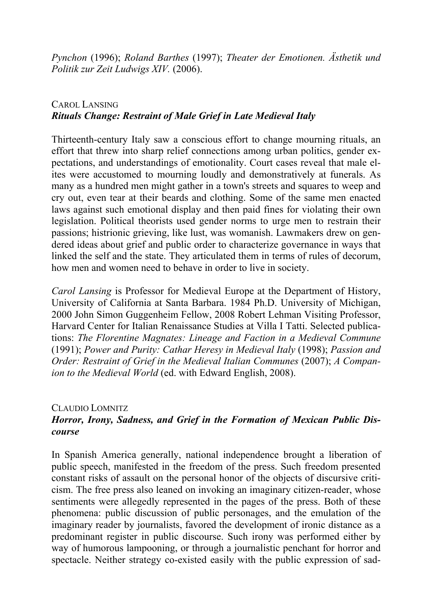*Pynchon* (1996); *Roland Barthes* (1997); *Theater der Emotionen. Ästhetik und Politik zur Zeit Ludwigs XIV.* (2006).

# CAROL LANSING *Rituals Change: Restraint of Male Grief in Late Medieval Italy*

Thirteenth-century Italy saw a conscious effort to change mourning rituals, an effort that threw into sharp relief connections among urban politics, gender expectations, and understandings of emotionality. Court cases reveal that male elites were accustomed to mourning loudly and demonstratively at funerals. As many as a hundred men might gather in a town's streets and squares to weep and cry out, even tear at their beards and clothing. Some of the same men enacted laws against such emotional display and then paid fines for violating their own legislation. Political theorists used gender norms to urge men to restrain their passions; histrionic grieving, like lust, was womanish. Lawmakers drew on gendered ideas about grief and public order to characterize governance in ways that linked the self and the state. They articulated them in terms of rules of decorum, how men and women need to behave in order to live in society.

*Carol Lansing* is Professor for Medieval Europe at the Department of History, University of California at Santa Barbara. 1984 Ph.D. University of Michigan, 2000 John Simon Guggenheim Fellow, 2008 Robert Lehman Visiting Professor, Harvard Center for Italian Renaissance Studies at Villa I Tatti. Selected publications: *The Florentine Magnates: Lineage and Faction in a Medieval Commune* (1991); *Power and Purity: Cathar Heresy in Medieval Italy* (1998); *Passion and Order: Restraint of Grief in the Medieval Italian Communes* (2007); *A Companion to the Medieval World* (ed. with Edward English, 2008).

#### CLAUDIO LOMNITZ

# *Horror, Irony, Sadness, and Grief in the Formation of Mexican Public Discourse*

In Spanish America generally, national independence brought a liberation of public speech, manifested in the freedom of the press. Such freedom presented constant risks of assault on the personal honor of the objects of discursive criticism. The free press also leaned on invoking an imaginary citizen-reader, whose sentiments were allegedly represented in the pages of the press. Both of these phenomena: public discussion of public personages, and the emulation of the imaginary reader by journalists, favored the development of ironic distance as a predominant register in public discourse. Such irony was performed either by way of humorous lampooning, or through a journalistic penchant for horror and spectacle. Neither strategy co-existed easily with the public expression of sad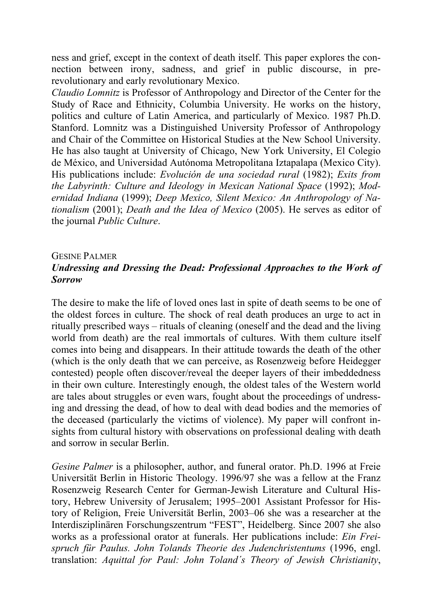ness and grief, except in the context of death itself. This paper explores the connection between irony, sadness, and grief in public discourse, in prerevolutionary and early revolutionary Mexico.

*Claudio Lomnitz* is Professor of Anthropology and Director of the Center for the Study of Race and Ethnicity, Columbia University. He works on the history, politics and culture of Latin America, and particularly of Mexico. 1987 Ph.D. Stanford. Lomnitz was a Distinguished University Professor of Anthropology and Chair of the Committee on Historical Studies at the New School University. He has also taught at University of Chicago, New York University, El Colegio de México, and Universidad Autónoma Metropolitana Iztapalapa (Mexico City). His publications include: *Evolución de una sociedad rural* (1982); *Exits from the Labyrinth: Culture and Ideology in Mexican National Space* (1992); *Modernidad Indiana* (1999); *Deep Mexico, Silent Mexico: An Anthropology of Nationalism* (2001); *Death and the Idea of Mexico* (2005). He serves as editor of the journal *Public Culture*.

# GESINE PALMER *Undressing and Dressing the Dead: Professional Approaches to the Work of Sorrow*

The desire to make the life of loved ones last in spite of death seems to be one of the oldest forces in culture. The shock of real death produces an urge to act in ritually prescribed ways – rituals of cleaning (oneself and the dead and the living world from death) are the real immortals of cultures. With them culture itself comes into being and disappears. In their attitude towards the death of the other (which is the only death that we can perceive, as Rosenzweig before Heidegger contested) people often discover/reveal the deeper layers of their imbeddedness in their own culture. Interestingly enough, the oldest tales of the Western world are tales about struggles or even wars, fought about the proceedings of undressing and dressing the dead, of how to deal with dead bodies and the memories of the deceased (particularly the victims of violence). My paper will confront insights from cultural history with observations on professional dealing with death and sorrow in secular Berlin.

*Gesine Palmer* is a philosopher, author, and funeral orator. Ph.D. 1996 at Freie Universität Berlin in Historic Theology. 1996/97 she was a fellow at the Franz Rosenzweig Research Center for German-Jewish Literature and Cultural History, Hebrew University of Jerusalem; 1995–2001 Assistant Professor for History of Religion, Freie Universität Berlin, 2003–06 she was a researcher at the Interdisziplinären Forschungszentrum "FEST", Heidelberg. Since 2007 she also works as a professional orator at funerals. Her publications include: *Ein Freispruch für Paulus. John Tolands Theorie des Judenchristentums* (1996, engl. translation: *Aquittal for Paul: John Toland´s Theory of Jewish Christianity*,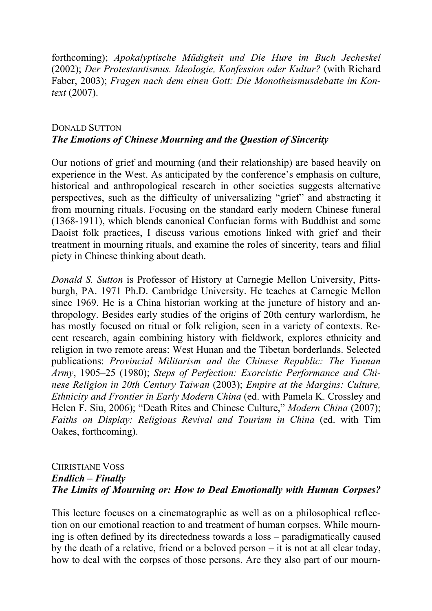forthcoming); *Apokalyptische Müdigkeit und Die Hure im Buch Jecheskel* (2002); *Der Protestantismus. Ideologie, Konfession oder Kultur?* (with Richard Faber, 2003); *Fragen nach dem einen Gott: Die Monotheismusdebatte im Kontext* (2007).

# DONALD SUTTON *The Emotions of Chinese Mourning and the Question of Sincerity*

Our notions of grief and mourning (and their relationship) are based heavily on experience in the West. As anticipated by the conference's emphasis on culture, historical and anthropological research in other societies suggests alternative perspectives, such as the difficulty of universalizing "grief" and abstracting it from mourning rituals. Focusing on the standard early modern Chinese funeral (1368-1911), which blends canonical Confucian forms with Buddhist and some Daoist folk practices, I discuss various emotions linked with grief and their treatment in mourning rituals, and examine the roles of sincerity, tears and filial piety in Chinese thinking about death.

*Donald S. Sutton* is Professor of History at Carnegie Mellon University, Pittsburgh, PA. 1971 Ph.D. Cambridge University. He teaches at Carnegie Mellon since 1969. He is a China historian working at the juncture of history and anthropology. Besides early studies of the origins of 20th century warlordism, he has mostly focused on ritual or folk religion, seen in a variety of contexts. Recent research, again combining history with fieldwork, explores ethnicity and religion in two remote areas: West Hunan and the Tibetan borderlands. Selected publications: *Provincial Militarism and the Chinese Republic: The Yunnan Army*, 1905–25 (1980); *Steps of Perfection: Exorcistic Performance and Chinese Religion in 20th Century Taiwan* (2003); *Empire at the Margins: Culture, Ethnicity and Frontier in Early Modern China* (ed. with Pamela K. Crossley and Helen F. Siu, 2006); "Death Rites and Chinese Culture," *Modern China* (2007); *Faiths on Display: Religious Revival and Tourism in China* (ed. with Tim Oakes, forthcoming).

# CHRISTIANE VOSS *Endlich – Finally The Limits of Mourning or: How to Deal Emotionally with Human Corpses?*

This lecture focuses on a cinematographic as well as on a philosophical reflection on our emotional reaction to and treatment of human corpses. While mourning is often defined by its directedness towards a loss – paradigmatically caused by the death of a relative, friend or a beloved person – it is not at all clear today, how to deal with the corpses of those persons. Are they also part of our mourn-